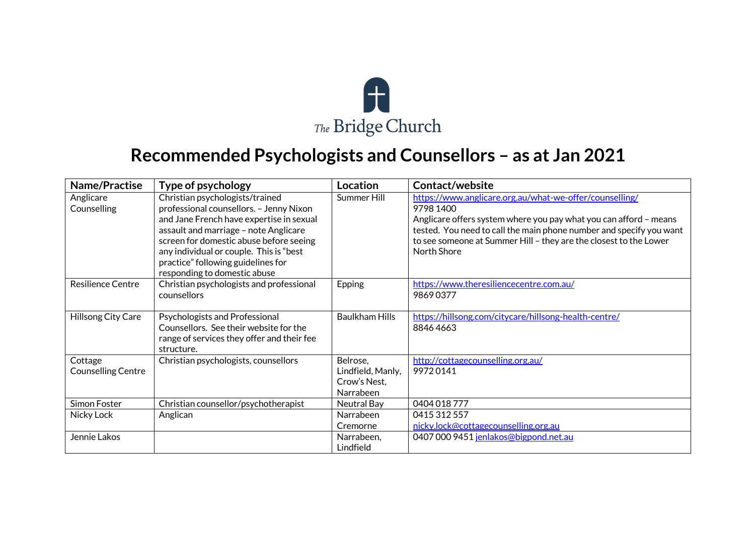

## **Recommended Psychologists and Counsellors – as at Jan 2021**

| Name/Practise                        | Type of psychology                                                                                                                                                                                                                                                                                                          | <b>Location</b>                                            | <b>Contact/website</b>                                                                                                                                                                                                                                                                               |
|--------------------------------------|-----------------------------------------------------------------------------------------------------------------------------------------------------------------------------------------------------------------------------------------------------------------------------------------------------------------------------|------------------------------------------------------------|------------------------------------------------------------------------------------------------------------------------------------------------------------------------------------------------------------------------------------------------------------------------------------------------------|
| Anglicare<br>Counselling             | Christian psychologists/trained<br>professional counsellors. - Jenny Nixon<br>and Jane French have expertise in sexual<br>assault and marriage - note Anglicare<br>screen for domestic abuse before seeing<br>any individual or couple. This is "best<br>practice" following guidelines for<br>responding to domestic abuse | Summer Hill                                                | https://www.anglicare.org.au/what-we-offer/counselling/<br>9798 1400<br>Anglicare offers system where you pay what you can afford - means<br>tested. You need to call the main phone number and specify you want<br>to see someone at Summer Hill - they are the closest to the Lower<br>North Shore |
| Resilience Centre                    | Christian psychologists and professional<br>counsellors                                                                                                                                                                                                                                                                     | Epping                                                     | https://www.theresiliencecentre.com.au/<br>98690377                                                                                                                                                                                                                                                  |
| Hillsong City Care                   | Psychologists and Professional<br>Counsellors. See their website for the<br>range of services they offer and their fee<br>structure.                                                                                                                                                                                        | <b>Baulkham Hills</b>                                      | https://hillsong.com/citycare/hillsong-health-centre/<br>88464663                                                                                                                                                                                                                                    |
| Cottage<br><b>Counselling Centre</b> | Christian psychologists, counsellors                                                                                                                                                                                                                                                                                        | Belrose,<br>Lindfield, Manly,<br>Crow's Nest,<br>Narrabeen | http://cottagecounselling.org.au/<br>99720141                                                                                                                                                                                                                                                        |
| Simon Foster                         | Christian counsellor/psychotherapist                                                                                                                                                                                                                                                                                        | Neutral Bay                                                | 0404 018 777                                                                                                                                                                                                                                                                                         |
| Nicky Lock                           | Anglican                                                                                                                                                                                                                                                                                                                    | Narrabeen                                                  | 0415 312 557                                                                                                                                                                                                                                                                                         |
|                                      |                                                                                                                                                                                                                                                                                                                             | Cremorne                                                   | nicky.lock@cottagecounselling.org.au                                                                                                                                                                                                                                                                 |
| Jennie Lakos                         |                                                                                                                                                                                                                                                                                                                             | Narrabeen,<br>Lindfield                                    | 0407 000 9451 jenlakos@bigpond.net.au                                                                                                                                                                                                                                                                |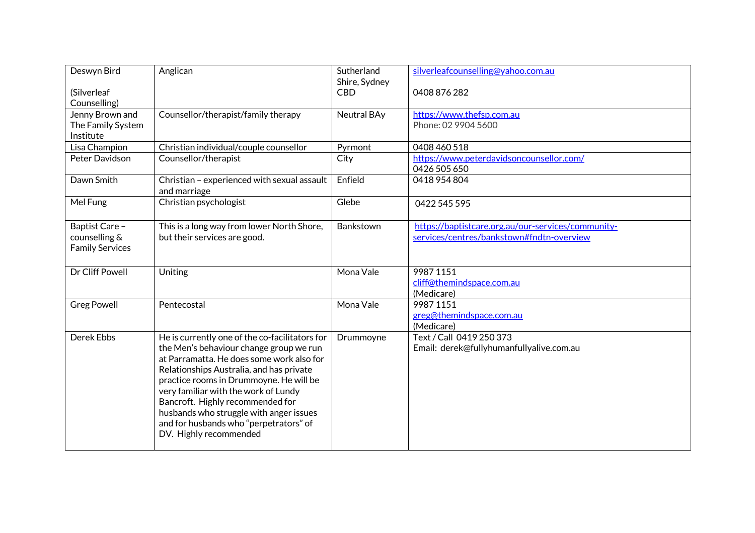| Deswyn Bird                                               | Anglican                                                                   | Sutherland<br>Shire, Sydney | silverleafcounselling@yahoo.com.au                                                              |
|-----------------------------------------------------------|----------------------------------------------------------------------------|-----------------------------|-------------------------------------------------------------------------------------------------|
| (Silverleaf                                               |                                                                            | <b>CBD</b>                  | 0408 876 282                                                                                    |
| Counselling)                                              |                                                                            |                             |                                                                                                 |
| Jenny Brown and                                           | Counsellor/therapist/family therapy                                        | Neutral BAy                 | https://www.thefsp.com.au                                                                       |
| The Family System                                         |                                                                            |                             | Phone: 02 9904 5600                                                                             |
| Institute                                                 |                                                                            |                             |                                                                                                 |
| Lisa Champion                                             | Christian individual/couple counsellor                                     | Pyrmont                     | 0408 460 518                                                                                    |
| Peter Davidson                                            | Counsellor/therapist                                                       | City                        | https://www.peterdavidsoncounsellor.com/                                                        |
|                                                           |                                                                            |                             | 0426 505 650                                                                                    |
| Dawn Smith                                                | Christian - experienced with sexual assault<br>and marriage                | Enfield                     | 0418 954 804                                                                                    |
| Mel Fung                                                  | Christian psychologist                                                     | Glebe                       | 0422 545 595                                                                                    |
| Baptist Care -<br>counselling &<br><b>Family Services</b> | This is a long way from lower North Shore,<br>but their services are good. | Bankstown                   | https://baptistcare.org.au/our-services/community-<br>services/centres/bankstown#fndtn-overview |
| Dr Cliff Powell                                           | Uniting                                                                    | Mona Vale                   | 99871151<br>cliff@themindspace.com.au<br>(Medicare)                                             |
| <b>Greg Powell</b>                                        | Pentecostal                                                                | Mona Vale                   | 99871151                                                                                        |
|                                                           |                                                                            |                             | greg@themindspace.com.au                                                                        |
|                                                           |                                                                            |                             | (Medicare)                                                                                      |
| Derek Ebbs                                                | He is currently one of the co-facilitators for                             | Drummoyne                   | Text / Call 0419 250 373                                                                        |
|                                                           | the Men's behaviour change group we run                                    |                             | Email: derek@fullyhumanfullyalive.com.au                                                        |
|                                                           | at Parramatta. He does some work also for                                  |                             |                                                                                                 |
|                                                           | Relationships Australia, and has private                                   |                             |                                                                                                 |
|                                                           | practice rooms in Drummoyne. He will be                                    |                             |                                                                                                 |
|                                                           | very familiar with the work of Lundy                                       |                             |                                                                                                 |
|                                                           | Bancroft. Highly recommended for                                           |                             |                                                                                                 |
|                                                           | husbands who struggle with anger issues                                    |                             |                                                                                                 |
|                                                           | and for husbands who "perpetrators" of                                     |                             |                                                                                                 |
|                                                           | DV. Highly recommended                                                     |                             |                                                                                                 |
|                                                           |                                                                            |                             |                                                                                                 |